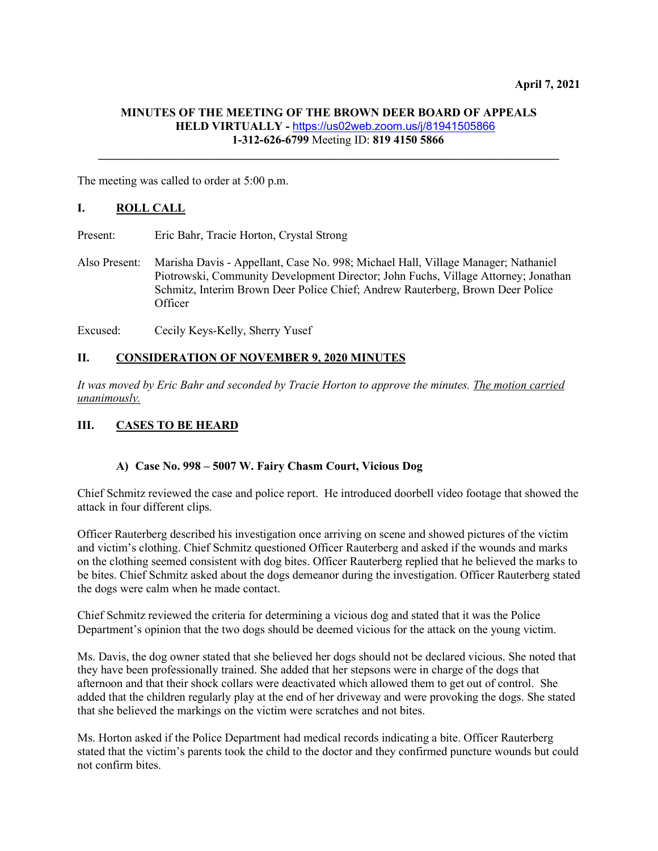## **MINUTES OF THE MEETING OF THE BROWN DEER BOARD OF APPEALS HELD VIRTUALLY -** <https://us02web.zoom.us/j/81941505866> **1-312-626-6799** Meeting ID: **819 4150 5866**

**\_\_\_\_\_\_\_\_\_\_\_\_\_\_\_\_\_\_\_\_\_\_\_\_\_\_\_\_\_\_\_\_\_\_\_\_\_\_\_\_\_\_\_\_\_\_\_\_\_\_\_\_\_\_\_\_\_\_\_\_\_\_\_\_\_\_\_\_\_\_\_\_\_\_\_\_\_\_**

The meeting was called to order at 5:00 p.m.

## **I. ROLL CALL**

Present: Eric Bahr, Tracie Horton, Crystal Strong

- Also Present: Marisha Davis Appellant, Case No. 998; Michael Hall, Village Manager; Nathaniel Piotrowski, Community Development Director; John Fuchs, Village Attorney; Jonathan Schmitz, Interim Brown Deer Police Chief; Andrew Rauterberg, Brown Deer Police **Officer**
- Excused: Cecily Keys-Kelly, Sherry Yusef

### **II. CONSIDERATION OF NOVEMBER 9, 2020 MINUTES**

*It was moved by Eric Bahr and seconded by Tracie Horton to approve the minutes. The motion carried unanimously.*

### **III. CASES TO BE HEARD**

#### **A) Case No. 998 – 5007 W. Fairy Chasm Court, Vicious Dog**

Chief Schmitz reviewed the case and police report. He introduced doorbell video footage that showed the attack in four different clips.

Officer Rauterberg described his investigation once arriving on scene and showed pictures of the victim and victim's clothing. Chief Schmitz questioned Officer Rauterberg and asked if the wounds and marks on the clothing seemed consistent with dog bites. Officer Rauterberg replied that he believed the marks to be bites. Chief Schmitz asked about the dogs demeanor during the investigation. Officer Rauterberg stated the dogs were calm when he made contact.

Chief Schmitz reviewed the criteria for determining a vicious dog and stated that it was the Police Department's opinion that the two dogs should be deemed vicious for the attack on the young victim.

Ms. Davis, the dog owner stated that she believed her dogs should not be declared vicious. She noted that they have been professionally trained. She added that her stepsons were in charge of the dogs that afternoon and that their shock collars were deactivated which allowed them to get out of control. She added that the children regularly play at the end of her driveway and were provoking the dogs. She stated that she believed the markings on the victim were scratches and not bites.

Ms. Horton asked if the Police Department had medical records indicating a bite. Officer Rauterberg stated that the victim's parents took the child to the doctor and they confirmed puncture wounds but could not confirm bites.